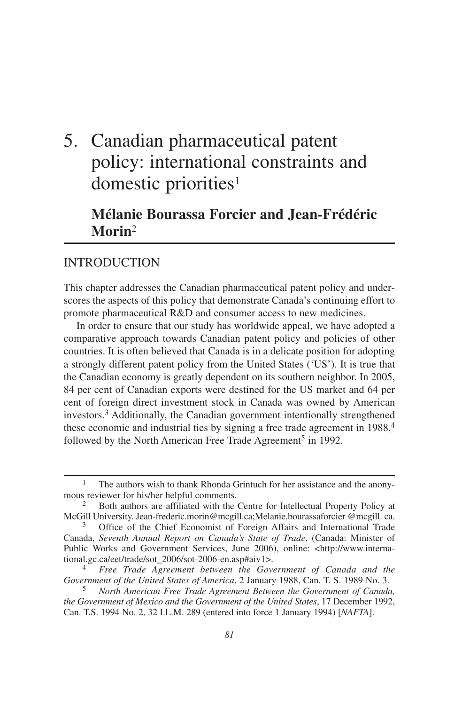5. Canadian pharmaceutical patent policy: international constraints and domestic priorities<sup>1</sup>

# **Mélanie Bourassa Forcier and Jean-Frédéric Morin**<sup>2</sup>

### INTRODUCTION

This chapter addresses the Canadian pharmaceutical patent policy and underscores the aspects of this policy that demonstrate Canada's continuing effort to promote pharmaceutical R&D and consumer access to new medicines.

In order to ensure that our study has worldwide appeal, we have adopted a comparative approach towards Canadian patent policy and policies of other countries. It is often believed that Canada is in a delicate position for adopting a strongly different patent policy from the United States ('US'). It is true that the Canadian economy is greatly dependent on its southern neighbor. In 2005, 84 per cent of Canadian exports were destined for the US market and 64 per cent of foreign direct investment stock in Canada was owned by American investors.<sup>3</sup> Additionally, the Canadian government intentionally strengthened these economic and industrial ties by signing a free trade agreement in 1988,<sup>4</sup> followed by the North American Free Trade Agreement<sup>5</sup> in 1992.

<sup>&</sup>lt;sup>1</sup> The authors wish to thank Rhonda Grintuch for her assistance and the anonymous reviewer for his/her helpful comments.

<sup>2</sup> Both authors are affiliated with the Centre for Intellectual Property Policy at McGill University. Jean-frederic.morin@mcgill.ca;Melanie.bourassaforcier @mcgill. ca.

<sup>3</sup> Office of the Chief Economist of Foreign Affairs and International Trade Canada, *Seventh Annual Report on Canada's State of Trade*, (Canada: Minister of Public Works and Government Services, June 2006), online: <http://www.international.gc.ca/eet/trade/sot\_2006/sot-2006-en.asp#aiv1>.

<sup>4</sup> *Free Trade Agreement between the Government of Canada and the Government of the United States of America*, 2 January 1988, Can. T. S. 1989 No. 3.

<sup>5</sup> *North American Free Trade Agreement Between the Government of Canada, the Government of Mexico and the Government of the United States*, 17 December 1992, Can. T.S. 1994 No. 2, 32 I.L.M. 289 (entered into force 1 January 1994) [*NAFTA*].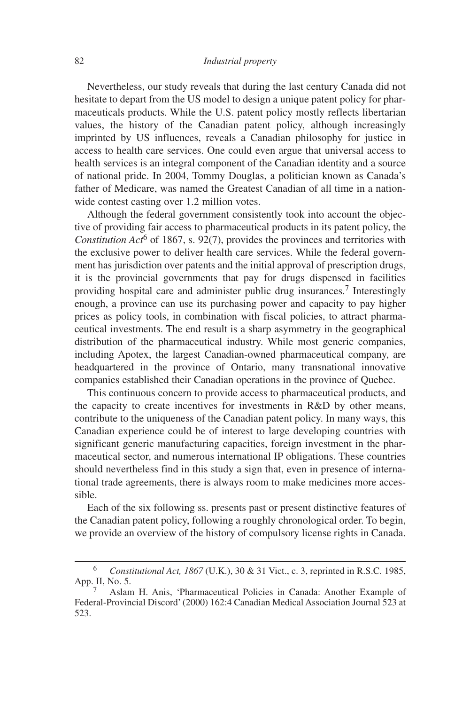#### 82 *Industrial property*

Nevertheless, our study reveals that during the last century Canada did not hesitate to depart from the US model to design a unique patent policy for pharmaceuticals products. While the U.S. patent policy mostly reflects libertarian values, the history of the Canadian patent policy, although increasingly imprinted by US influences, reveals a Canadian philosophy for justice in access to health care services. One could even argue that universal access to health services is an integral component of the Canadian identity and a source of national pride. In 2004, Tommy Douglas, a politician known as Canada's father of Medicare, was named the Greatest Canadian of all time in a nationwide contest casting over 1.2 million votes.

Although the federal government consistently took into account the objective of providing fair access to pharmaceutical products in its patent policy, the *Constitution Act*<sup>6</sup> of 1867, s. 92(7), provides the provinces and territories with the exclusive power to deliver health care services. While the federal government has jurisdiction over patents and the initial approval of prescription drugs, it is the provincial governments that pay for drugs dispensed in facilities providing hospital care and administer public drug insurances.7 Interestingly enough, a province can use its purchasing power and capacity to pay higher prices as policy tools, in combination with fiscal policies, to attract pharmaceutical investments. The end result is a sharp asymmetry in the geographical distribution of the pharmaceutical industry. While most generic companies, including Apotex, the largest Canadian-owned pharmaceutical company, are headquartered in the province of Ontario, many transnational innovative companies established their Canadian operations in the province of Quebec.

This continuous concern to provide access to pharmaceutical products, and the capacity to create incentives for investments in R&D by other means, contribute to the uniqueness of the Canadian patent policy. In many ways, this Canadian experience could be of interest to large developing countries with significant generic manufacturing capacities, foreign investment in the pharmaceutical sector, and numerous international IP obligations. These countries should nevertheless find in this study a sign that, even in presence of international trade agreements, there is always room to make medicines more accessible.

Each of the six following ss. presents past or present distinctive features of the Canadian patent policy, following a roughly chronological order. To begin, we provide an overview of the history of compulsory license rights in Canada.

<sup>6</sup> *Constitutional Act, 1867* (U.K.), 30 & 31 Vict., c. 3, reprinted in R.S.C. 1985, App. II, No. 5.

<sup>7</sup> Aslam H. Anis, 'Pharmaceutical Policies in Canada: Another Example of Federal-Provincial Discord' (2000) 162:4 Canadian Medical Association Journal 523 at 523.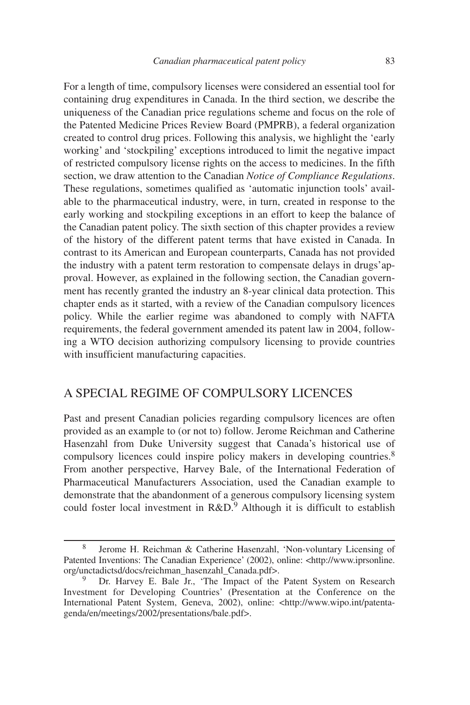For a length of time, compulsory licenses were considered an essential tool for containing drug expenditures in Canada. In the third section, we describe the uniqueness of the Canadian price regulations scheme and focus on the role of the Patented Medicine Prices Review Board (PMPRB), a federal organization created to control drug prices. Following this analysis, we highlight the 'early working' and 'stockpiling' exceptions introduced to limit the negative impact of restricted compulsory license rights on the access to medicines. In the fifth section, we draw attention to the Canadian *Notice of Compliance Regulations*. These regulations, sometimes qualified as 'automatic injunction tools' available to the pharmaceutical industry, were, in turn, created in response to the early working and stockpiling exceptions in an effort to keep the balance of the Canadian patent policy. The sixth section of this chapter provides a review of the history of the different patent terms that have existed in Canada. In contrast to its American and European counterparts, Canada has not provided the industry with a patent term restoration to compensate delays in drugs'approval. However, as explained in the following section, the Canadian government has recently granted the industry an 8-year clinical data protection. This chapter ends as it started, with a review of the Canadian compulsory licences policy. While the earlier regime was abandoned to comply with NAFTA requirements, the federal government amended its patent law in 2004, following a WTO decision authorizing compulsory licensing to provide countries with insufficient manufacturing capacities.

#### A SPECIAL REGIME OF COMPULSORY LICENCES

Past and present Canadian policies regarding compulsory licences are often provided as an example to (or not to) follow. Jerome Reichman and Catherine Hasenzahl from Duke University suggest that Canada's historical use of compulsory licences could inspire policy makers in developing countries.<sup>8</sup> From another perspective, Harvey Bale, of the International Federation of Pharmaceutical Manufacturers Association, used the Canadian example to demonstrate that the abandonment of a generous compulsory licensing system could foster local investment in R&D.<sup>9</sup> Although it is difficult to establish

<sup>8</sup> Jerome H. Reichman & Catherine Hasenzahl, 'Non-voluntary Licensing of Patented Inventions: The Canadian Experience' (2002), online: <http://www.iprsonline. org/unctadictsd/docs/reichman\_hasenzahl\_Canada.pdf>.

Dr. Harvey E. Bale Jr., 'The Impact of the Patent System on Research Investment for Developing Countries' (Presentation at the Conference on the International Patent System, Geneva, 2002), online: <http://www.wipo.int/patentagenda/en/meetings/2002/presentations/bale.pdf>.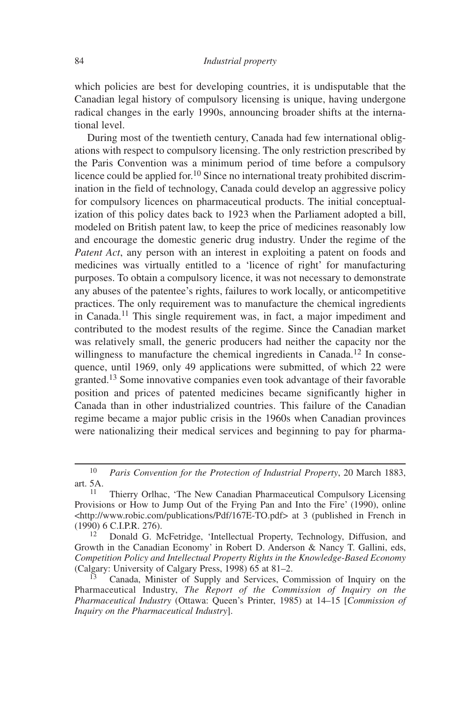which policies are best for developing countries, it is undisputable that the Canadian legal history of compulsory licensing is unique, having undergone radical changes in the early 1990s, announcing broader shifts at the international level.

During most of the twentieth century, Canada had few international obligations with respect to compulsory licensing. The only restriction prescribed by the Paris Convention was a minimum period of time before a compulsory licence could be applied for.<sup>10</sup> Since no international treaty prohibited discrimination in the field of technology, Canada could develop an aggressive policy for compulsory licences on pharmaceutical products. The initial conceptualization of this policy dates back to 1923 when the Parliament adopted a bill, modeled on British patent law, to keep the price of medicines reasonably low and encourage the domestic generic drug industry. Under the regime of the *Patent Act*, any person with an interest in exploiting a patent on foods and medicines was virtually entitled to a 'licence of right' for manufacturing purposes. To obtain a compulsory licence, it was not necessary to demonstrate any abuses of the patentee's rights, failures to work locally, or anticompetitive practices. The only requirement was to manufacture the chemical ingredients in Canada.<sup>11</sup> This single requirement was, in fact, a major impediment and contributed to the modest results of the regime. Since the Canadian market was relatively small, the generic producers had neither the capacity nor the willingness to manufacture the chemical ingredients in Canada.<sup>12</sup> In consequence, until 1969, only 49 applications were submitted, of which 22 were granted.13 Some innovative companies even took advantage of their favorable position and prices of patented medicines became significantly higher in Canada than in other industrialized countries. This failure of the Canadian regime became a major public crisis in the 1960s when Canadian provinces were nationalizing their medical services and beginning to pay for pharma-

<sup>10</sup> *Paris Convention for the Protection of Industrial Property*, 20 March 1883, art. 5A.

<sup>11</sup> Thierry Orlhac, 'The New Canadian Pharmaceutical Compulsory Licensing Provisions or How to Jump Out of the Frying Pan and Into the Fire' (1990), online <http://www.robic.com/publications/Pdf/167E-TO.pdf> at 3 (published in French in  $(1990)$  6 C.I.P.R. 276).

<sup>12</sup> Donald G. McFetridge, 'Intellectual Property, Technology, Diffusion, and Growth in the Canadian Economy' in Robert D. Anderson & Nancy T. Gallini, eds, *Competition Policy and Intellectual Property Rights in the Knowledge-Based Economy* (Calgary: University of Calgary Press, 1998) 65 at 81–2.

Canada, Minister of Supply and Services, Commission of Inquiry on the Pharmaceutical Industry, *The Report of the Commission of Inquiry on the Pharmaceutical Industry* (Ottawa: Queen's Printer, 1985) at 14–15 [*Commission of Inquiry on the Pharmaceutical Industry*].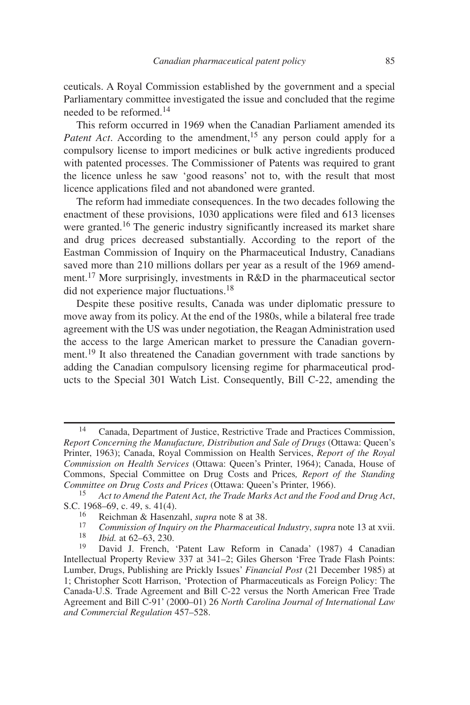ceuticals. A Royal Commission established by the government and a special Parliamentary committee investigated the issue and concluded that the regime needed to be reformed.<sup>14</sup>

This reform occurred in 1969 when the Canadian Parliament amended its *Patent Act*. According to the amendment,<sup>15</sup> any person could apply for a compulsory license to import medicines or bulk active ingredients produced with patented processes. The Commissioner of Patents was required to grant the licence unless he saw 'good reasons' not to, with the result that most licence applications filed and not abandoned were granted.

The reform had immediate consequences. In the two decades following the enactment of these provisions, 1030 applications were filed and 613 licenses were granted.<sup>16</sup> The generic industry significantly increased its market share and drug prices decreased substantially. According to the report of the Eastman Commission of Inquiry on the Pharmaceutical Industry, Canadians saved more than 210 millions dollars per year as a result of the 1969 amendment.17 More surprisingly, investments in R&D in the pharmaceutical sector did not experience major fluctuations.<sup>18</sup>

Despite these positive results, Canada was under diplomatic pressure to move away from its policy. At the end of the 1980s, while a bilateral free trade agreement with the US was under negotiation, the Reagan Administration used the access to the large American market to pressure the Canadian government.<sup>19</sup> It also threatened the Canadian government with trade sanctions by adding the Canadian compulsory licensing regime for pharmaceutical products to the Special 301 Watch List. Consequently, Bill C-22, amending the

<sup>18</sup> *Ibid.* at 62–63, 230.<br><sup>19</sup> David L. French

<sup>14</sup> Canada, Department of Justice, Restrictive Trade and Practices Commission, *Report Concerning the Manufacture, Distribution and Sale of Drugs* (Ottawa: Queen's Printer, 1963); Canada, Royal Commission on Health Services, *Report of the Royal Commission on Health Services* (Ottawa: Queen's Printer, 1964); Canada, House of Commons, Special Committee on Drug Costs and Prices*, Report of the Standing Committee on Drug Costs and Prices* (Ottawa: Queen's Printer, 1966).

<sup>15</sup> *Act to Amend the Patent Act, the Trade Marks Act and the Food and Drug Act*, S.C. 1968–69, c. 49, s. 41(4).<br> $\frac{16}{2}$  Reichman & Hasenz

<sup>16</sup> Reichman & Hasenzahl, *supra* note 8 at 38.

<sup>&</sup>lt;sup>17</sup> *Commission of Inquiry on the Pharmaceutical Industry, supra* note 13 at xvii.<br><sup>18</sup> *Ibid.* at 62, 63, 230

David J. French, 'Patent Law Reform in Canada' (1987) 4 Canadian Intellectual Property Review 337 at 341–2; Giles Gherson 'Free Trade Flash Points: Lumber, Drugs, Publishing are Prickly Issues' *Financial Post* (21 December 1985) at 1; Christopher Scott Harrison, 'Protection of Pharmaceuticals as Foreign Policy: The Canada-U.S. Trade Agreement and Bill C-22 versus the North American Free Trade Agreement and Bill C-91' (2000–01) 26 *North Carolina Journal of International Law and Commercial Regulation* 457–528.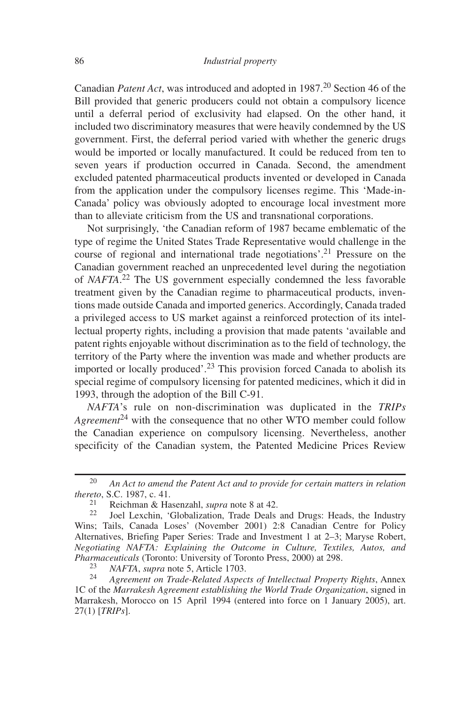Canadian *Patent Act*, was introduced and adopted in 1987.<sup>20</sup> Section 46 of the Bill provided that generic producers could not obtain a compulsory licence until a deferral period of exclusivity had elapsed. On the other hand, it included two discriminatory measures that were heavily condemned by the US government. First, the deferral period varied with whether the generic drugs would be imported or locally manufactured. It could be reduced from ten to seven years if production occurred in Canada. Second, the amendment excluded patented pharmaceutical products invented or developed in Canada from the application under the compulsory licenses regime. This 'Made-in-Canada' policy was obviously adopted to encourage local investment more than to alleviate criticism from the US and transnational corporations.

Not surprisingly, 'the Canadian reform of 1987 became emblematic of the type of regime the United States Trade Representative would challenge in the course of regional and international trade negotiations'.21 Pressure on the Canadian government reached an unprecedented level during the negotiation of *NAFTA*. <sup>22</sup> The US government especially condemned the less favorable treatment given by the Canadian regime to pharmaceutical products, inventions made outside Canada and imported generics. Accordingly, Canada traded a privileged access to US market against a reinforced protection of its intellectual property rights, including a provision that made patents 'available and patent rights enjoyable without discrimination as to the field of technology, the territory of the Party where the invention was made and whether products are imported or locally produced'.<sup>23</sup> This provision forced Canada to abolish its special regime of compulsory licensing for patented medicines, which it did in 1993, through the adoption of the Bill C-91.

*NAFTA*'s rule on non-discrimination was duplicated in the *TRIPs Agreement*<sup>24</sup> with the consequence that no other WTO member could follow the Canadian experience on compulsory licensing. Nevertheless, another specificity of the Canadian system, the Patented Medicine Prices Review

<sup>20</sup> *An Act to amend the Patent Act and to provide for certain matters in relation thereto*, S.C. 1987, c. 41.<br><sup>21</sup> Rejohman & Ha

<sup>21</sup> Reichman & Hasenzahl, *supra* note 8 at 42.

Joel Lexchin, 'Globalization, Trade Deals and Drugs: Heads, the Industry Wins; Tails, Canada Loses' (November 2001) 2:8 Canadian Centre for Policy Alternatives, Briefing Paper Series: Trade and Investment 1 at 2–3; Maryse Robert, *Negotiating NAFTA: Explaining the Outcome in Culture, Textiles, Autos, and Pharmaceuticals* (Toronto: University of Toronto Press, 2000) at 298.<br><sup>23</sup> *NAETA* sunga pote 5, Article 1703

<sup>23</sup> *NAFTA*, *supra* note 5, Article 1703.

<sup>24</sup> *Agreement on Trade-Related Aspects of Intellectual Property Rights*, Annex 1C of the *Marrakesh Agreement establishing the World Trade Organization*, signed in Marrakesh, Morocco on 15 April 1994 (entered into force on 1 January 2005), art. 27(1) [*TRIPs*].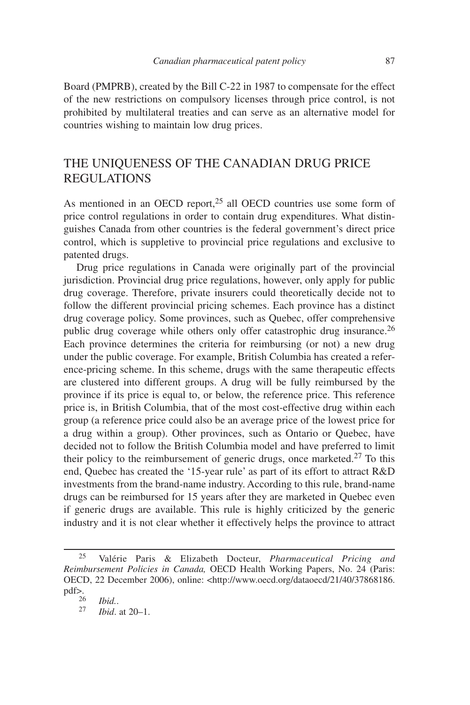Board (PMPRB), created by the Bill C-22 in 1987 to compensate for the effect of the new restrictions on compulsory licenses through price control, is not prohibited by multilateral treaties and can serve as an alternative model for countries wishing to maintain low drug prices.

## THE UNIQUENESS OF THE CANADIAN DRUG PRICE REGULATIONS

As mentioned in an OECD report, $2<sup>5</sup>$  all OECD countries use some form of price control regulations in order to contain drug expenditures. What distinguishes Canada from other countries is the federal government's direct price control, which is suppletive to provincial price regulations and exclusive to patented drugs.

Drug price regulations in Canada were originally part of the provincial jurisdiction. Provincial drug price regulations, however, only apply for public drug coverage. Therefore, private insurers could theoretically decide not to follow the different provincial pricing schemes. Each province has a distinct drug coverage policy. Some provinces, such as Quebec, offer comprehensive public drug coverage while others only offer catastrophic drug insurance.<sup>26</sup> Each province determines the criteria for reimbursing (or not) a new drug under the public coverage. For example, British Columbia has created a reference-pricing scheme. In this scheme, drugs with the same therapeutic effects are clustered into different groups. A drug will be fully reimbursed by the province if its price is equal to, or below, the reference price. This reference price is, in British Columbia, that of the most cost-effective drug within each group (a reference price could also be an average price of the lowest price for a drug within a group). Other provinces, such as Ontario or Quebec, have decided not to follow the British Columbia model and have preferred to limit their policy to the reimbursement of generic drugs, once marketed.<sup>27</sup> To this end, Quebec has created the '15-year rule' as part of its effort to attract R&D investments from the brand-name industry. According to this rule, brand-name drugs can be reimbursed for 15 years after they are marketed in Quebec even if generic drugs are available. This rule is highly criticized by the generic industry and it is not clear whether it effectively helps the province to attract

<sup>25</sup> Valérie Paris & Elizabeth Docteur, *Pharmaceutical Pricing and Reimbursement Policies in Canada,* OECD Health Working Papers, No. 24 (Paris: OECD, 22 December 2006), online: <http://www.oecd.org/dataoecd/21/40/37868186. pdf $>_{26}$ 

<sup>26</sup> *Ibid.*. <sup>27</sup> *Ibid*. at 20–1.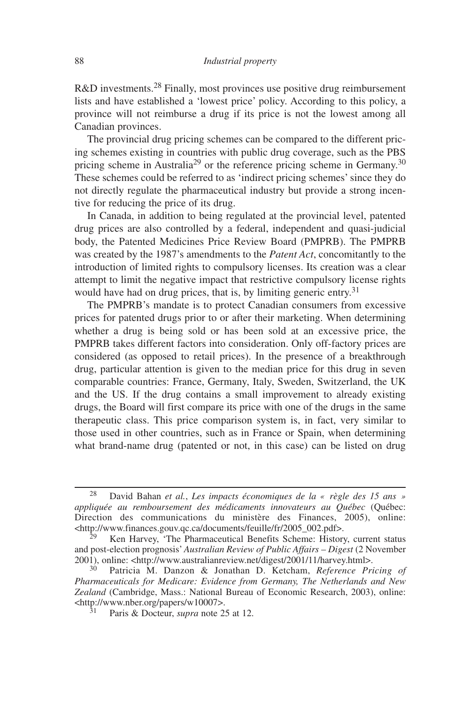R&D investments.<sup>28</sup> Finally, most provinces use positive drug reimbursement lists and have established a 'lowest price' policy. According to this policy, a province will not reimburse a drug if its price is not the lowest among all Canadian provinces.

The provincial drug pricing schemes can be compared to the different pricing schemes existing in countries with public drug coverage, such as the PBS pricing scheme in Australia<sup>29</sup> or the reference pricing scheme in Germany.<sup>30</sup> These schemes could be referred to as 'indirect pricing schemes' since they do not directly regulate the pharmaceutical industry but provide a strong incentive for reducing the price of its drug.

In Canada, in addition to being regulated at the provincial level, patented drug prices are also controlled by a federal, independent and quasi-judicial body, the Patented Medicines Price Review Board (PMPRB). The PMPRB was created by the 1987's amendments to the *Patent Act*, concomitantly to the introduction of limited rights to compulsory licenses. Its creation was a clear attempt to limit the negative impact that restrictive compulsory license rights would have had on drug prices, that is, by limiting generic entry.<sup>31</sup>

The PMPRB's mandate is to protect Canadian consumers from excessive prices for patented drugs prior to or after their marketing. When determining whether a drug is being sold or has been sold at an excessive price, the PMPRB takes different factors into consideration. Only off-factory prices are considered (as opposed to retail prices). In the presence of a breakthrough drug, particular attention is given to the median price for this drug in seven comparable countries: France, Germany, Italy, Sweden, Switzerland, the UK and the US. If the drug contains a small improvement to already existing drugs, the Board will first compare its price with one of the drugs in the same therapeutic class. This price comparison system is, in fact, very similar to those used in other countries, such as in France or Spain, when determining what brand-name drug (patented or not, in this case) can be listed on drug

<sup>28</sup> David Bahan *et al.*, *Les impacts économiques de la « règle des 15 ans » appliquée au remboursement des médicaments innovateurs au Québec* (Québec: Direction des communications du ministère des Finances, 2005), online: <http://www.finances.gouv.qc.ca/documents/feuille/fr/2005\_002.pdf>.

Ken Harvey, 'The Pharmaceutical Benefits Scheme: History, current status and post-election prognosis' *Australian Review of Public Affairs* – *Digest* (2 November 2001), online: <http://www.australianreview.net/digest/2001/11/harvey.html>.

<sup>30</sup> Patricia M. Danzon & Jonathan D. Ketcham, *Reference Pricing of Pharmaceuticals for Medicare: Evidence from Germany, The Netherlands and New Zealand* (Cambridge, Mass.: National Bureau of Economic Research, 2003), online: <http://www.nber.org/papers/w10007>.

Paris & Docteur, *supra* note 25 at 12.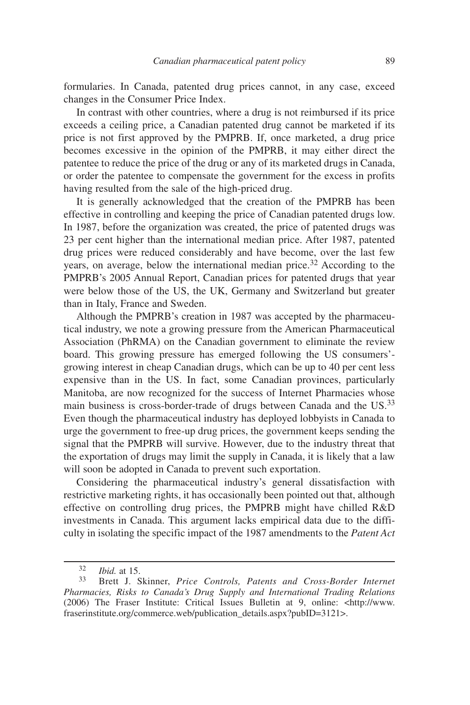formularies. In Canada, patented drug prices cannot, in any case, exceed changes in the Consumer Price Index.

In contrast with other countries, where a drug is not reimbursed if its price exceeds a ceiling price, a Canadian patented drug cannot be marketed if its price is not first approved by the PMPRB. If, once marketed, a drug price becomes excessive in the opinion of the PMPRB, it may either direct the patentee to reduce the price of the drug or any of its marketed drugs in Canada, or order the patentee to compensate the government for the excess in profits having resulted from the sale of the high-priced drug.

It is generally acknowledged that the creation of the PMPRB has been effective in controlling and keeping the price of Canadian patented drugs low. In 1987, before the organization was created, the price of patented drugs was 23 per cent higher than the international median price. After 1987, patented drug prices were reduced considerably and have become, over the last few years, on average, below the international median price.<sup>32</sup> According to the PMPRB's 2005 Annual Report, Canadian prices for patented drugs that year were below those of the US, the UK, Germany and Switzerland but greater than in Italy, France and Sweden.

Although the PMPRB's creation in 1987 was accepted by the pharmaceutical industry, we note a growing pressure from the American Pharmaceutical Association (PhRMA) on the Canadian government to eliminate the review board. This growing pressure has emerged following the US consumers' growing interest in cheap Canadian drugs, which can be up to 40 per cent less expensive than in the US. In fact, some Canadian provinces, particularly Manitoba, are now recognized for the success of Internet Pharmacies whose main business is cross-border-trade of drugs between Canada and the US.<sup>33</sup> Even though the pharmaceutical industry has deployed lobbyists in Canada to urge the government to free-up drug prices, the government keeps sending the signal that the PMPRB will survive. However, due to the industry threat that the exportation of drugs may limit the supply in Canada, it is likely that a law will soon be adopted in Canada to prevent such exportation.

Considering the pharmaceutical industry's general dissatisfaction with restrictive marketing rights, it has occasionally been pointed out that, although effective on controlling drug prices, the PMPRB might have chilled R&D investments in Canada. This argument lacks empirical data due to the difficulty in isolating the specific impact of the 1987 amendments to the *Patent Act*

<sup>32</sup> *Ibid.* at 15.

<sup>33</sup> Brett J. Skinner, *Price Controls, Patents and Cross-Border Internet Pharmacies, Risks to Canada's Drug Supply and International Trading Relations* (2006) The Fraser Institute: Critical Issues Bulletin at 9, online: <http://www. fraserinstitute.org/commerce.web/publication\_details.aspx?pubID=3121>.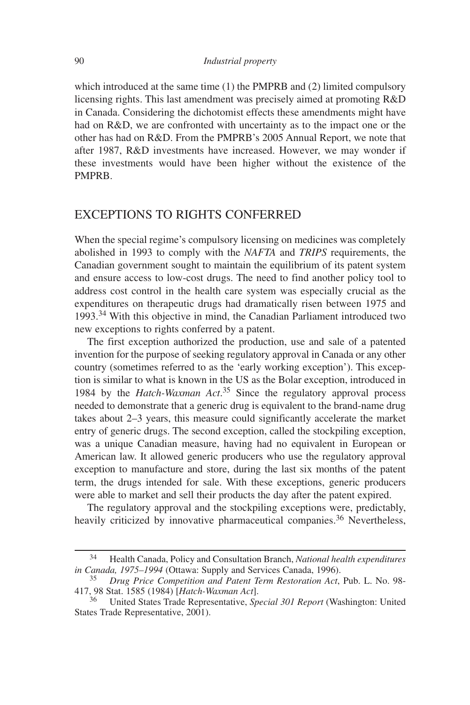which introduced at the same time (1) the PMPRB and (2) limited compulsory licensing rights. This last amendment was precisely aimed at promoting R&D in Canada. Considering the dichotomist effects these amendments might have had on R&D, we are confronted with uncertainty as to the impact one or the other has had on R&D. From the PMPRB's 2005 Annual Report, we note that after 1987, R&D investments have increased. However, we may wonder if these investments would have been higher without the existence of the PMPRB.

#### EXCEPTIONS TO RIGHTS CONFERRED

When the special regime's compulsory licensing on medicines was completely abolished in 1993 to comply with the *NAFTA* and *TRIPS* requirements, the Canadian government sought to maintain the equilibrium of its patent system and ensure access to low-cost drugs. The need to find another policy tool to address cost control in the health care system was especially crucial as the expenditures on therapeutic drugs had dramatically risen between 1975 and 1993.<sup>34</sup> With this objective in mind, the Canadian Parliament introduced two new exceptions to rights conferred by a patent.

The first exception authorized the production, use and sale of a patented invention for the purpose of seeking regulatory approval in Canada or any other country (sometimes referred to as the 'early working exception'). This exception is similar to what is known in the US as the Bolar exception, introduced in 1984 by the *Hatch-Waxman Act*.<sup>35</sup> Since the regulatory approval process needed to demonstrate that a generic drug is equivalent to the brand-name drug takes about 2–3 years, this measure could significantly accelerate the market entry of generic drugs. The second exception, called the stockpiling exception, was a unique Canadian measure, having had no equivalent in European or American law. It allowed generic producers who use the regulatory approval exception to manufacture and store, during the last six months of the patent term, the drugs intended for sale. With these exceptions, generic producers were able to market and sell their products the day after the patent expired.

The regulatory approval and the stockpiling exceptions were, predictably, heavily criticized by innovative pharmaceutical companies.<sup>36</sup> Nevertheless,

<sup>34</sup> Health Canada, Policy and Consultation Branch, *National health expenditures in Canada, 1975–1994* (Ottawa: Supply and Services Canada, 1996).

<sup>35</sup> *Drug Price Competition and Patent Term Restoration Act*, Pub. L. No. 98- 417, 98 Stat. 1585 (1984) [*Hatch-Waxman Act*].

<sup>36</sup> United States Trade Representative, *Special 301 Report* (Washington: United States Trade Representative, 2001).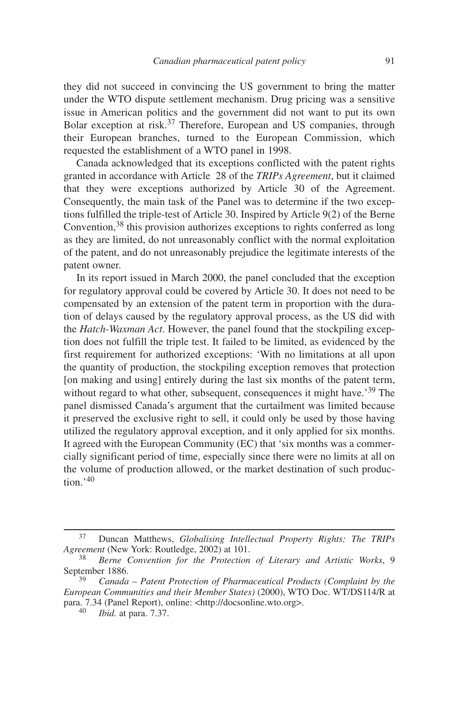they did not succeed in convincing the US government to bring the matter under the WTO dispute settlement mechanism. Drug pricing was a sensitive issue in American politics and the government did not want to put its own Bolar exception at risk.<sup>37</sup> Therefore, European and US companies, through their European branches, turned to the European Commission, which requested the establishment of a WTO panel in 1998.

Canada acknowledged that its exceptions conflicted with the patent rights granted in accordance with Article 28 of the *TRIPs Agreement*, but it claimed that they were exceptions authorized by Article 30 of the Agreement. Consequently, the main task of the Panel was to determine if the two exceptions fulfilled the triple-test of Article 30. Inspired by Article 9(2) of the Berne Convention,38 this provision authorizes exceptions to rights conferred as long as they are limited, do not unreasonably conflict with the normal exploitation of the patent, and do not unreasonably prejudice the legitimate interests of the patent owner.

In its report issued in March 2000, the panel concluded that the exception for regulatory approval could be covered by Article 30. It does not need to be compensated by an extension of the patent term in proportion with the duration of delays caused by the regulatory approval process, as the US did with the *Hatch-Waxman Act*. However, the panel found that the stockpiling exception does not fulfill the triple test. It failed to be limited, as evidenced by the first requirement for authorized exceptions: 'With no limitations at all upon the quantity of production, the stockpiling exception removes that protection [on making and using] entirely during the last six months of the patent term, without regard to what other, subsequent, consequences it might have.<sup>39</sup> The panel dismissed Canada's argument that the curtailment was limited because it preserved the exclusive right to sell, it could only be used by those having utilized the regulatory approval exception, and it only applied for six months. It agreed with the European Community (EC) that 'six months was a commercially significant period of time, especially since there were no limits at all on the volume of production allowed, or the market destination of such production.'40

<sup>37</sup> Duncan Matthews, *Globalising Intellectual Property Rights: The TRIPs Agreement* (New York: Routledge, 2002) at 101.

<sup>38</sup> *Berne Convention for the Protection of Literary and Artistic Works*, 9 September 1886.

<sup>39</sup> *Canada* – *Patent Protection of Pharmaceutical Products (Complaint by the European Communities and their Member States)* (2000), WTO Doc. WT/DS114/R at para. 7.34 (Panel Report), online: <http://docsonline.wto.org>.

<sup>40</sup> *Ibid.* at para. 7.37.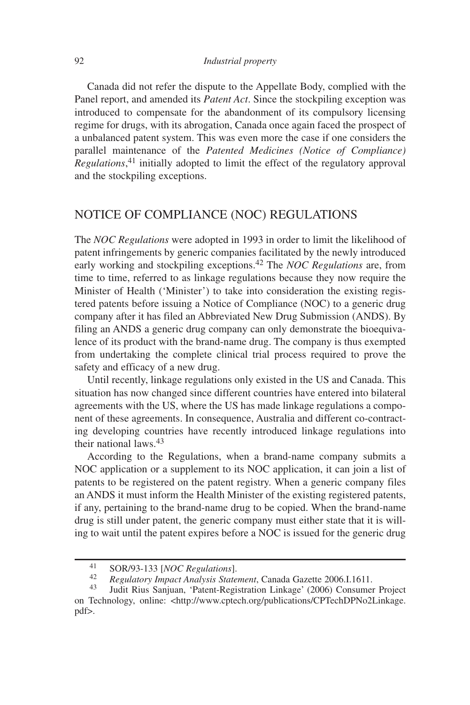Canada did not refer the dispute to the Appellate Body, complied with the Panel report, and amended its *Patent Act*. Since the stockpiling exception was introduced to compensate for the abandonment of its compulsory licensing regime for drugs, with its abrogation, Canada once again faced the prospect of a unbalanced patent system. This was even more the case if one considers the parallel maintenance of the *Patented Medicines (Notice of Compliance) Regulations*, <sup>41</sup> initially adopted to limit the effect of the regulatory approval and the stockpiling exceptions.

#### NOTICE OF COMPLIANCE (NOC) REGULATIONS

The *NOC Regulations* were adopted in 1993 in order to limit the likelihood of patent infringements by generic companies facilitated by the newly introduced early working and stockpiling exceptions.<sup>42</sup> The *NOC Regulations* are, from time to time, referred to as linkage regulations because they now require the Minister of Health ('Minister') to take into consideration the existing registered patents before issuing a Notice of Compliance (NOC) to a generic drug company after it has filed an Abbreviated New Drug Submission (ANDS). By filing an ANDS a generic drug company can only demonstrate the bioequivalence of its product with the brand-name drug. The company is thus exempted from undertaking the complete clinical trial process required to prove the safety and efficacy of a new drug.

Until recently, linkage regulations only existed in the US and Canada. This situation has now changed since different countries have entered into bilateral agreements with the US, where the US has made linkage regulations a component of these agreements. In consequence, Australia and different co-contracting developing countries have recently introduced linkage regulations into their national laws.43

According to the Regulations, when a brand-name company submits a NOC application or a supplement to its NOC application, it can join a list of patents to be registered on the patent registry. When a generic company files an ANDS it must inform the Health Minister of the existing registered patents, if any, pertaining to the brand-name drug to be copied. When the brand-name drug is still under patent, the generic company must either state that it is willing to wait until the patent expires before a NOC is issued for the generic drug

<sup>41</sup> SOR/93-133 [*NOC Regulations*].

<sup>42</sup> *Regulatory Impact Analysis Statement*, Canada Gazette 2006.I.1611.

<sup>43</sup> Judit Rius Sanjuan, 'Patent-Registration Linkage' (2006) Consumer Project on Technology, online: <http://www.cptech.org/publications/CPTechDPNo2Linkage. pdf>.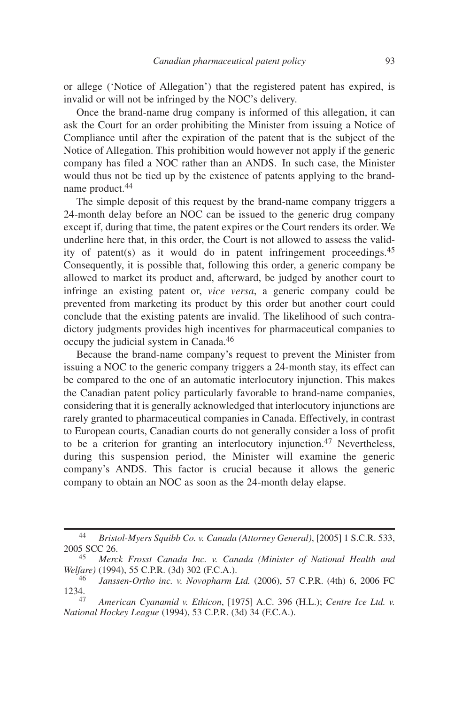or allege ('Notice of Allegation') that the registered patent has expired, is invalid or will not be infringed by the NOC's delivery.

Once the brand-name drug company is informed of this allegation, it can ask the Court for an order prohibiting the Minister from issuing a Notice of Compliance until after the expiration of the patent that is the subject of the Notice of Allegation. This prohibition would however not apply if the generic company has filed a NOC rather than an ANDS. In such case, the Minister would thus not be tied up by the existence of patents applying to the brandname product.<sup>44</sup>

The simple deposit of this request by the brand-name company triggers a 24-month delay before an NOC can be issued to the generic drug company except if, during that time, the patent expires or the Court renders its order. We underline here that, in this order, the Court is not allowed to assess the validity of patent(s) as it would do in patent infringement proceedings.<sup>45</sup> Consequently, it is possible that, following this order, a generic company be allowed to market its product and, afterward, be judged by another court to infringe an existing patent or, *vice versa*, a generic company could be prevented from marketing its product by this order but another court could conclude that the existing patents are invalid. The likelihood of such contradictory judgments provides high incentives for pharmaceutical companies to occupy the judicial system in Canada.<sup>46</sup>

Because the brand-name company's request to prevent the Minister from issuing a NOC to the generic company triggers a 24-month stay, its effect can be compared to the one of an automatic interlocutory injunction. This makes the Canadian patent policy particularly favorable to brand-name companies, considering that it is generally acknowledged that interlocutory injunctions are rarely granted to pharmaceutical companies in Canada. Effectively, in contrast to European courts, Canadian courts do not generally consider a loss of profit to be a criterion for granting an interlocutory injunction.<sup>47</sup> Nevertheless, during this suspension period, the Minister will examine the generic company's ANDS. This factor is crucial because it allows the generic company to obtain an NOC as soon as the 24-month delay elapse.

<sup>44</sup> *Bristol-Myers Squibb Co. v. Canada (Attorney General)*, [2005] 1 S.C.R. 533, 2005 SCC 26.

<sup>45</sup> *Merck Frosst Canada Inc. v. Canada (Minister of National Health and Welfare)* (1994), 55 C.P.R. (3d) 302 (F.C.A.).

<sup>46</sup> *Janssen-Ortho inc. v. Novopharm Ltd.* (2006), 57 C.P.R. (4th) 6, 2006 FC  $1234.$ 

<sup>47</sup> *American Cyanamid v. Ethicon*, [1975] A.C. 396 (H.L.); *Centre Ice Ltd. v. National Hockey League* (1994), 53 C.P.R. (3d) 34 (F.C.A.).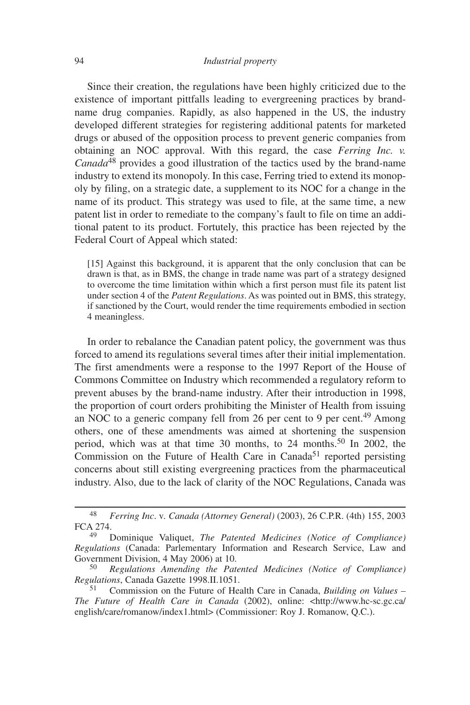Since their creation, the regulations have been highly criticized due to the existence of important pittfalls leading to evergreening practices by brandname drug companies. Rapidly, as also happened in the US, the industry developed different strategies for registering additional patents for marketed drugs or abused of the opposition process to prevent generic companies from obtaining an NOC approval. With this regard, the case *Ferring Inc. v. Canada*<sup>48</sup> provides a good illustration of the tactics used by the brand-name industry to extend its monopoly. In this case, Ferring tried to extend its monopoly by filing, on a strategic date, a supplement to its NOC for a change in the name of its product. This strategy was used to file, at the same time, a new patent list in order to remediate to the company's fault to file on time an additional patent to its product. Fortutely, this practice has been rejected by the Federal Court of Appeal which stated:

[15] Against this background, it is apparent that the only conclusion that can be drawn is that, as in BMS, the change in trade name was part of a strategy designed to overcome the time limitation within which a first person must file its patent list under section 4 of the *Patent Regulations*. As was pointed out in BMS, this strategy, if sanctioned by the Court, would render the time requirements embodied in section 4 meaningless.

In order to rebalance the Canadian patent policy, the government was thus forced to amend its regulations several times after their initial implementation. The first amendments were a response to the 1997 Report of the House of Commons Committee on Industry which recommended a regulatory reform to prevent abuses by the brand-name industry. After their introduction in 1998, the proportion of court orders prohibiting the Minister of Health from issuing an NOC to a generic company fell from 26 per cent to 9 per cent.<sup>49</sup> Among others, one of these amendments was aimed at shortening the suspension period, which was at that time 30 months, to 24 months.<sup>50</sup> In 2002, the  $\overline{a}$ Commission on the Future of Health Care in Canada<sup>51</sup> reported persisting concerns about still existing evergreening practices from the pharmaceutical industry. Also, due to the lack of clarity of the NOC Regulations, Canada was

<sup>48</sup> *Ferring Inc*. v*. Canada (Attorney General)* (2003), 26 C.P.R. (4th) 155, 2003  $FCA 274.$ 

<sup>49</sup> Dominique Valiquet, *The Patented Medicines (Notice of Compliance) Regulations* (Canada: Parlementary Information and Research Service, Law and Government Division, 4 May 2006) at 10.<br> $\frac{50}{2}$  Regulations Amending the Pat

<sup>50</sup> *Regulations Amending the Patented Medicines (Notice of Compliance) Regulations*, Canada Gazette 1998.II.1051.

<sup>51</sup> Commission on the Future of Health Care in Canada, *Building on Values – The Future of Health Care in Canada* (2002), online: <http://www.hc-sc.gc.ca/ english/care/romanow/index1.html> (Commissioner: Roy J. Romanow, Q.C.).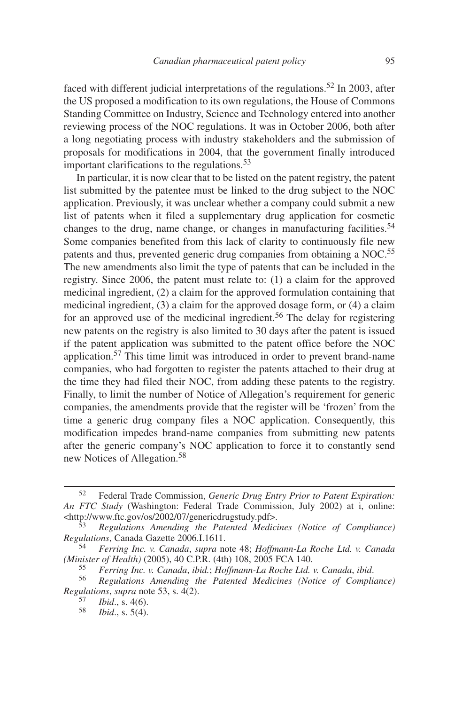faced with different judicial interpretations of the regulations.<sup>52</sup> In 2003, after the US proposed a modification to its own regulations, the House of Commons Standing Committee on Industry, Science and Technology entered into another reviewing process of the NOC regulations. It was in October 2006, both after a long negotiating process with industry stakeholders and the submission of proposals for modifications in 2004, that the government finally introduced important clarifications to the regulations.  $53$ 

In particular, it is now clear that to be listed on the patent registry, the patent list submitted by the patentee must be linked to the drug subject to the NOC application. Previously, it was unclear whether a company could submit a new list of patents when it filed a supplementary drug application for cosmetic changes to the drug, name change, or changes in manufacturing facilities.<sup>54</sup> Some companies benefited from this lack of clarity to continuously file new patents and thus, prevented generic drug companies from obtaining a NOC.<sup>55</sup> The new amendments also limit the type of patents that can be included in the registry. Since 2006, the patent must relate to: (1) a claim for the approved medicinal ingredient, (2) a claim for the approved formulation containing that medicinal ingredient, (3) a claim for the approved dosage form, or (4) a claim for an approved use of the medicinal ingredient.<sup>56</sup> The delay for registering new patents on the registry is also limited to 30 days after the patent is issued if the patent application was submitted to the patent office before the NOC application.57 This time limit was introduced in order to prevent brand-name companies, who had forgotten to register the patents attached to their drug at the time they had filed their NOC, from adding these patents to the registry. Finally, to limit the number of Notice of Allegation's requirement for generic companies, the amendments provide that the register will be 'frozen' from the time a generic drug company files a NOC application. Consequently, this modification impedes brand-name companies from submitting new patents after the generic company's NOC application to force it to constantly send new Notices of Allegation.58

<sup>52</sup> Federal Trade Commission, *Generic Drug Entry Prior to Patent Expiration: An FTC Study* (Washington: Federal Trade Commission, July 2002) at i, online: <http://www.ftc.gov/os/2002/07/genericdrugstudy.pdf>.

<sup>53</sup> *Regulations Amending the Patented Medicines (Notice of Compliance) Regulations*, Canada Gazette 2006.I.1611.

<sup>54</sup> *Ferring Inc. v. Canada*, *supra* note 48; *Hoffmann-La Roche Ltd. v. Canada (Minister of Health)* (2005), 40 C.P.R. (4th) 108, 2005 FCA 140.

<sup>55</sup> *Ferring Inc. v. Canada*, *ibid.*; *Hoffmann-La Roche Ltd. v. Canada*, *ibid*. <sup>56</sup> *Regulations Amending the Patented Medicines (Notice of Compliance)*

*Regulations*, *supra* note 53, s. 4(2).

<sup>57</sup> *Ibid*., s. 4(6).

*Ibid.*, s. 5(4).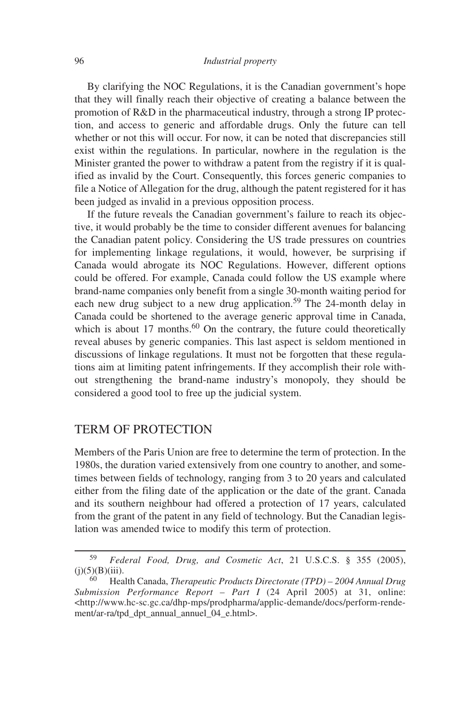By clarifying the NOC Regulations, it is the Canadian government's hope that they will finally reach their objective of creating a balance between the promotion of R&D in the pharmaceutical industry, through a strong IP protection, and access to generic and affordable drugs. Only the future can tell whether or not this will occur. For now, it can be noted that discrepancies still exist within the regulations. In particular, nowhere in the regulation is the Minister granted the power to withdraw a patent from the registry if it is qualified as invalid by the Court. Consequently, this forces generic companies to file a Notice of Allegation for the drug, although the patent registered for it has been judged as invalid in a previous opposition process.

If the future reveals the Canadian government's failure to reach its objective, it would probably be the time to consider different avenues for balancing the Canadian patent policy. Considering the US trade pressures on countries for implementing linkage regulations, it would, however, be surprising if Canada would abrogate its NOC Regulations. However, different options could be offered. For example, Canada could follow the US example where brand-name companies only benefit from a single 30-month waiting period for each new drug subject to a new drug application.<sup>59</sup> The 24-month delay in Canada could be shortened to the average generic approval time in Canada, which is about 17 months. $60$  On the contrary, the future could theoretically reveal abuses by generic companies. This last aspect is seldom mentioned in discussions of linkage regulations. It must not be forgotten that these regulations aim at limiting patent infringements. If they accomplish their role without strengthening the brand-name industry's monopoly, they should be considered a good tool to free up the judicial system.

#### TERM OF PROTECTION

Members of the Paris Union are free to determine the term of protection. In the 1980s, the duration varied extensively from one country to another, and sometimes between fields of technology, ranging from 3 to 20 years and calculated either from the filing date of the application or the date of the grant. Canada and its southern neighbour had offered a protection of 17 years, calculated from the grant of the patent in any field of technology. But the Canadian legislation was amended twice to modify this term of protection.

<sup>59</sup> *Federal Food, Drug, and Cosmetic Act*, 21 U.S.C.S. § 355 (2005),  $(j)(5)(B)(iii)$ .

<sup>60</sup> Health Canada, *Therapeutic Products Directorate (TPD) – 2004 Annual Drug Submission Performance Report – Part I* (24 April 2005) at 31, online: <http://www.hc-sc.gc.ca/dhp-mps/prodpharma/applic-demande/docs/perform-rendement/ar-ra/tpd\_dpt\_annual\_annuel\_04\_e.html>.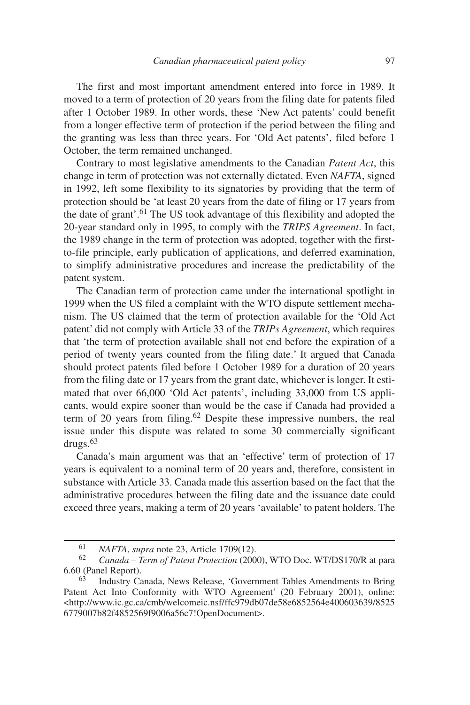The first and most important amendment entered into force in 1989. It moved to a term of protection of 20 years from the filing date for patents filed after 1 October 1989. In other words, these 'New Act patents' could benefit from a longer effective term of protection if the period between the filing and the granting was less than three years. For 'Old Act patents', filed before 1 October, the term remained unchanged.

Contrary to most legislative amendments to the Canadian *Patent Act*, this change in term of protection was not externally dictated. Even *NAFTA*, signed in 1992, left some flexibility to its signatories by providing that the term of protection should be 'at least 20 years from the date of filing or 17 years from the date of grant'.61 The US took advantage of this flexibility and adopted the 20-year standard only in 1995, to comply with the *TRIPS Agreement*. In fact, the 1989 change in the term of protection was adopted, together with the firstto-file principle, early publication of applications, and deferred examination, to simplify administrative procedures and increase the predictability of the patent system.

The Canadian term of protection came under the international spotlight in 1999 when the US filed a complaint with the WTO dispute settlement mechanism. The US claimed that the term of protection available for the 'Old Act patent' did not comply with Article 33 of the *TRIPs Agreement*, which requires that 'the term of protection available shall not end before the expiration of a period of twenty years counted from the filing date.' It argued that Canada should protect patents filed before 1 October 1989 for a duration of 20 years from the filing date or 17 years from the grant date, whichever is longer. It estimated that over 66,000 'Old Act patents', including 33,000 from US applicants, would expire sooner than would be the case if Canada had provided a term of 20 years from filing.<sup>62</sup> Despite these impressive numbers, the real issue under this dispute was related to some 30 commercially significant drugs.<sup>63</sup>

Canada's main argument was that an 'effective' term of protection of 17 years is equivalent to a nominal term of 20 years and, therefore, consistent in substance with Article 33. Canada made this assertion based on the fact that the administrative procedures between the filing date and the issuance date could exceed three years, making a term of 20 years 'available' to patent holders. The

<sup>61</sup> *NAFTA*, *supra* note 23, Article 1709(12).

<sup>62</sup> *Canada* – *Term of Patent Protection* (2000), WTO Doc. WT/DS170/R at para 6.60 (Panel Report).

Industry Canada, News Release, 'Government Tables Amendments to Bring Patent Act Into Conformity with WTO Agreement' (20 February 2001), online: <http://www.ic.gc.ca/cmb/welcomeic.nsf/ffc979db07de58e6852564e400603639/8525 6779007b82f4852569f9006a56c7!OpenDocument>.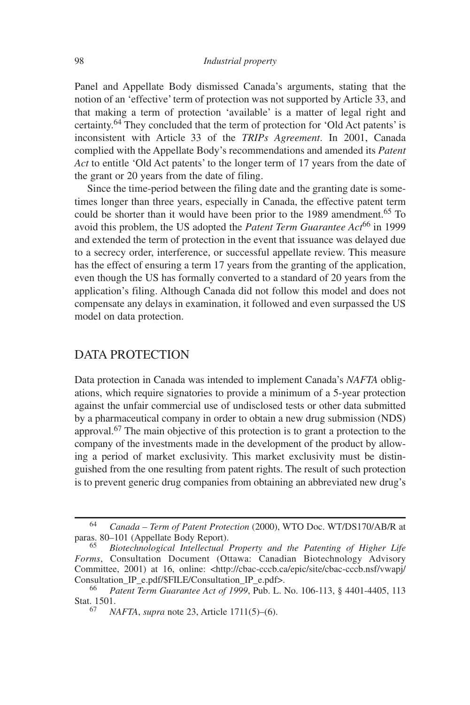Panel and Appellate Body dismissed Canada's arguments, stating that the notion of an 'effective' term of protection was not supported by Article 33, and that making a term of protection 'available' is a matter of legal right and certainty.64 They concluded that the term of protection for 'Old Act patents' is inconsistent with Article 33 of the *TRIPs Agreement*. In 2001, Canada complied with the Appellate Body's recommendations and amended its *Patent Act* to entitle 'Old Act patents' to the longer term of 17 years from the date of the grant or 20 years from the date of filing.

Since the time-period between the filing date and the granting date is sometimes longer than three years, especially in Canada, the effective patent term could be shorter than it would have been prior to the 1989 amendment.<sup>65</sup> To avoid this problem, the US adopted the *Patent Term Guarantee Act*<sup>66</sup> in 1999 and extended the term of protection in the event that issuance was delayed due to a secrecy order, interference, or successful appellate review. This measure has the effect of ensuring a term 17 years from the granting of the application, even though the US has formally converted to a standard of 20 years from the application's filing. Although Canada did not follow this model and does not compensate any delays in examination, it followed and even surpassed the US model on data protection.

#### DATA PROTECTION

Data protection in Canada was intended to implement Canada's *NAFTA* obligations, which require signatories to provide a minimum of a 5-year protection against the unfair commercial use of undisclosed tests or other data submitted by a pharmaceutical company in order to obtain a new drug submission (NDS) approval.67 The main objective of this protection is to grant a protection to the company of the investments made in the development of the product by allowing a period of market exclusivity. This market exclusivity must be distinguished from the one resulting from patent rights. The result of such protection is to prevent generic drug companies from obtaining an abbreviated new drug's

<sup>64</sup> *Canada – Term of Patent Protection* (2000), WTO Doc. WT/DS170/AB/R at paras. 80–101 (Appellate Body Report).<br>65 Biotechnological Intellectual

<sup>65</sup> *Biotechnological Intellectual Property and the Patenting of Higher Life Forms*, Consultation Document (Ottawa: Canadian Biotechnology Advisory Committee, 2001) at 16, online: <http://cbac-cccb.ca/epic/site/cbac-cccb.nsf/vwapj/ Consultation\_IP\_e.pdf/\$FILE/Consultation\_IP\_e.pdf>.

<sup>66</sup> *Patent Term Guarantee Act of 1999*, Pub. L. No. 106-113, § 4401-4405, 113 Stat. 1501.

<sup>67</sup> *NAFTA*, *supra* note 23, Article 1711(5)–(6).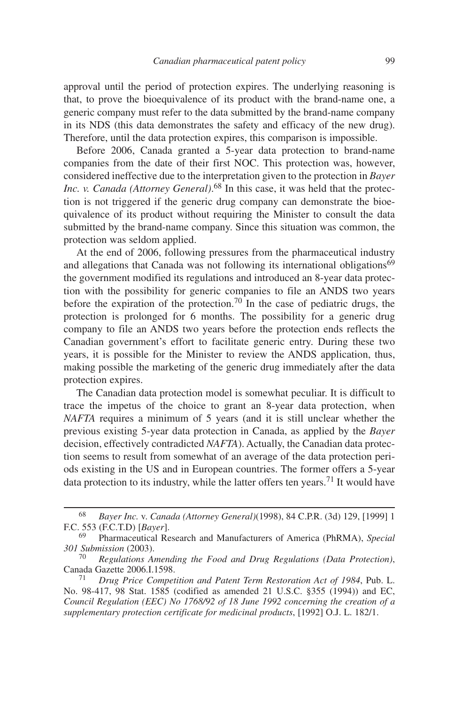approval until the period of protection expires. The underlying reasoning is that, to prove the bioequivalence of its product with the brand-name one, a generic company must refer to the data submitted by the brand-name company in its NDS (this data demonstrates the safety and efficacy of the new drug). Therefore, until the data protection expires, this comparison is impossible.

Before 2006, Canada granted a 5-year data protection to brand-name companies from the date of their first NOC. This protection was, however, considered ineffective due to the interpretation given to the protection in *Bayer Inc. v. Canada (Attorney General)*. <sup>68</sup> In this case, it was held that the protection is not triggered if the generic drug company can demonstrate the bioequivalence of its product without requiring the Minister to consult the data submitted by the brand-name company. Since this situation was common, the protection was seldom applied.

At the end of 2006, following pressures from the pharmaceutical industry and allegations that Canada was not following its international obligations<sup>69</sup> the government modified its regulations and introduced an 8-year data protection with the possibility for generic companies to file an ANDS two years before the expiration of the protection.<sup>70</sup> In the case of pediatric drugs, the protection is prolonged for 6 months. The possibility for a generic drug company to file an ANDS two years before the protection ends reflects the Canadian government's effort to facilitate generic entry. During these two years, it is possible for the Minister to review the ANDS application, thus, making possible the marketing of the generic drug immediately after the data protection expires.

The Canadian data protection model is somewhat peculiar. It is difficult to trace the impetus of the choice to grant an 8-year data protection, when *NAFTA* requires a minimum of 5 years (and it is still unclear whether the previous existing 5-year data protection in Canada, as applied by the *Bayer* decision, effectively contradicted *NAFTA*). Actually, the Canadian data protection seems to result from somewhat of an average of the data protection periods existing in the US and in European countries. The former offers a 5-year data protection to its industry, while the latter offers ten years.<sup>71</sup> It would have

<sup>68</sup> *Bayer Inc.* v. *Canada (Attorney General)*(1998), 84 C.P.R. (3d) 129, [1999] 1 F.C. 553 (F.C.T.D) [*Bayer*].

<sup>69</sup> Pharmaceutical Research and Manufacturers of America (PhRMA), *Special 301 Submission* (2003).

<sup>70</sup> *Regulations Amending the Food and Drug Regulations (Data Protection)*, Canada Gazette 2006.I.1598.<br><sup>71</sup> Drug Price Connet

<sup>71</sup> *Drug Price Competition and Patent Term Restoration Act of 1984*, Pub. L. No. 98-417, 98 Stat. 1585 (codified as amended 21 U.S.C. §355 (1994)) and EC, *Council Regulation (EEC) No 1768/92 of 18 June 1992 concerning the creation of a supplementary protection certificate for medicinal products*, [1992] O.J. L. 182/1.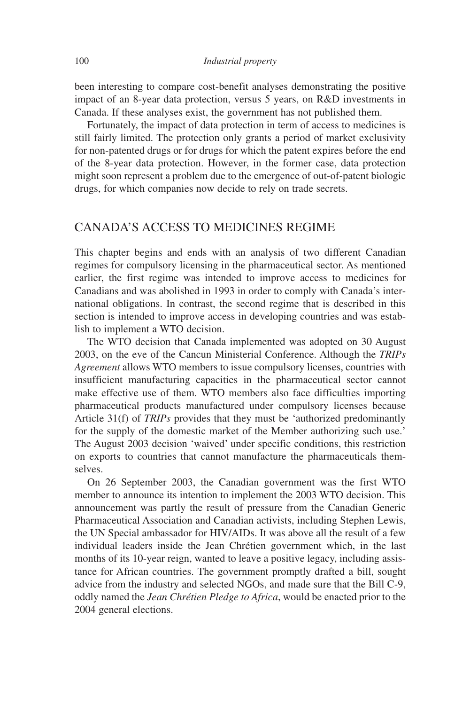been interesting to compare cost-benefit analyses demonstrating the positive impact of an 8-year data protection, versus 5 years, on R&D investments in Canada. If these analyses exist, the government has not published them.

Fortunately, the impact of data protection in term of access to medicines is still fairly limited. The protection only grants a period of market exclusivity for non-patented drugs or for drugs for which the patent expires before the end of the 8-year data protection. However, in the former case, data protection might soon represent a problem due to the emergence of out-of-patent biologic drugs, for which companies now decide to rely on trade secrets.

## CANADA'S ACCESS TO MEDICINES REGIME

This chapter begins and ends with an analysis of two different Canadian regimes for compulsory licensing in the pharmaceutical sector. As mentioned earlier, the first regime was intended to improve access to medicines for Canadians and was abolished in 1993 in order to comply with Canada's international obligations. In contrast, the second regime that is described in this section is intended to improve access in developing countries and was establish to implement a WTO decision.

The WTO decision that Canada implemented was adopted on 30 August 2003, on the eve of the Cancun Ministerial Conference. Although the *TRIPs Agreement* allows WTO members to issue compulsory licenses, countries with insufficient manufacturing capacities in the pharmaceutical sector cannot make effective use of them. WTO members also face difficulties importing pharmaceutical products manufactured under compulsory licenses because Article 31(f) of *TRIPs* provides that they must be 'authorized predominantly for the supply of the domestic market of the Member authorizing such use.' The August 2003 decision 'waived' under specific conditions, this restriction on exports to countries that cannot manufacture the pharmaceuticals themselves.

On 26 September 2003, the Canadian government was the first WTO member to announce its intention to implement the 2003 WTO decision. This announcement was partly the result of pressure from the Canadian Generic Pharmaceutical Association and Canadian activists, including Stephen Lewis, the UN Special ambassador for HIV/AIDs. It was above all the result of a few individual leaders inside the Jean Chrétien government which, in the last months of its 10-year reign, wanted to leave a positive legacy, including assistance for African countries. The government promptly drafted a bill, sought advice from the industry and selected NGOs, and made sure that the Bill C-9, oddly named the *Jean Chrétien Pledge to Africa*, would be enacted prior to the 2004 general elections.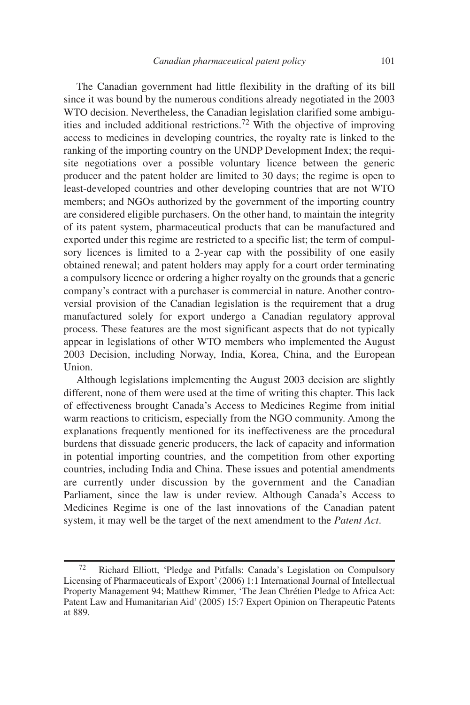The Canadian government had little flexibility in the drafting of its bill since it was bound by the numerous conditions already negotiated in the 2003 WTO decision. Nevertheless, the Canadian legislation clarified some ambiguities and included additional restrictions.72 With the objective of improving access to medicines in developing countries, the royalty rate is linked to the ranking of the importing country on the UNDP Development Index; the requisite negotiations over a possible voluntary licence between the generic producer and the patent holder are limited to 30 days; the regime is open to least-developed countries and other developing countries that are not WTO members; and NGOs authorized by the government of the importing country are considered eligible purchasers. On the other hand, to maintain the integrity of its patent system, pharmaceutical products that can be manufactured and exported under this regime are restricted to a specific list; the term of compulsory licences is limited to a 2-year cap with the possibility of one easily obtained renewal; and patent holders may apply for a court order terminating a compulsory licence or ordering a higher royalty on the grounds that a generic company's contract with a purchaser is commercial in nature. Another controversial provision of the Canadian legislation is the requirement that a drug manufactured solely for export undergo a Canadian regulatory approval process. These features are the most significant aspects that do not typically appear in legislations of other WTO members who implemented the August 2003 Decision, including Norway, India, Korea, China, and the European Union.

Although legislations implementing the August 2003 decision are slightly different, none of them were used at the time of writing this chapter. This lack of effectiveness brought Canada's Access to Medicines Regime from initial warm reactions to criticism, especially from the NGO community. Among the explanations frequently mentioned for its ineffectiveness are the procedural burdens that dissuade generic producers, the lack of capacity and information in potential importing countries, and the competition from other exporting countries, including India and China. These issues and potential amendments are currently under discussion by the government and the Canadian Parliament, since the law is under review. Although Canada's Access to Medicines Regime is one of the last innovations of the Canadian patent system, it may well be the target of the next amendment to the *Patent Act*.

<sup>72</sup> Richard Elliott, 'Pledge and Pitfalls: Canada's Legislation on Compulsory Licensing of Pharmaceuticals of Export' (2006) 1:1 International Journal of Intellectual Property Management 94; Matthew Rimmer, 'The Jean Chrétien Pledge to Africa Act: Patent Law and Humanitarian Aid' (2005) 15:7 Expert Opinion on Therapeutic Patents at 889.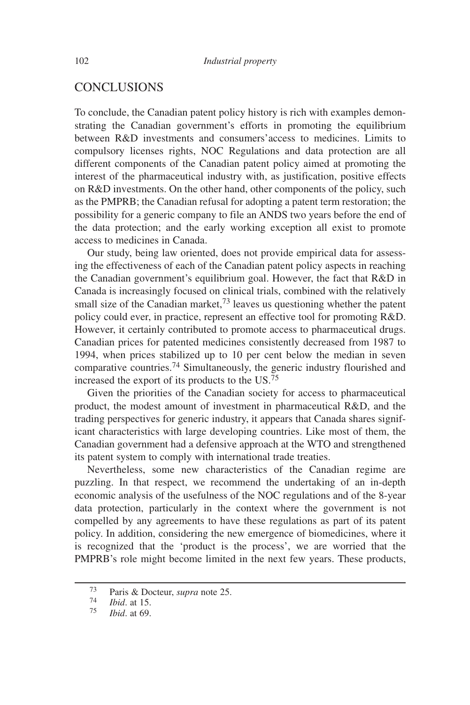#### **CONCLUSIONS**

To conclude, the Canadian patent policy history is rich with examples demonstrating the Canadian government's efforts in promoting the equilibrium between R&D investments and consumers'access to medicines. Limits to compulsory licenses rights, NOC Regulations and data protection are all different components of the Canadian patent policy aimed at promoting the interest of the pharmaceutical industry with, as justification, positive effects on R&D investments. On the other hand, other components of the policy, such as the PMPRB; the Canadian refusal for adopting a patent term restoration; the possibility for a generic company to file an ANDS two years before the end of the data protection; and the early working exception all exist to promote access to medicines in Canada.

Our study, being law oriented, does not provide empirical data for assessing the effectiveness of each of the Canadian patent policy aspects in reaching the Canadian government's equilibrium goal. However, the fact that R&D in Canada is increasingly focused on clinical trials, combined with the relatively small size of the Canadian market, $^{73}$  leaves us questioning whether the patent policy could ever, in practice, represent an effective tool for promoting R&D. However, it certainly contributed to promote access to pharmaceutical drugs. Canadian prices for patented medicines consistently decreased from 1987 to 1994, when prices stabilized up to 10 per cent below the median in seven comparative countries.74 Simultaneously, the generic industry flourished and increased the export of its products to the US.<sup>75</sup>

Given the priorities of the Canadian society for access to pharmaceutical product, the modest amount of investment in pharmaceutical R&D, and the trading perspectives for generic industry, it appears that Canada shares significant characteristics with large developing countries. Like most of them, the Canadian government had a defensive approach at the WTO and strengthened its patent system to comply with international trade treaties.

Nevertheless, some new characteristics of the Canadian regime are puzzling. In that respect, we recommend the undertaking of an in-depth economic analysis of the usefulness of the NOC regulations and of the 8-year data protection, particularly in the context where the government is not compelled by any agreements to have these regulations as part of its patent policy. In addition, considering the new emergence of biomedicines, where it is recognized that the 'product is the process', we are worried that the PMPRB's role might become limited in the next few years. These products,

<sup>73</sup> Paris & Docteur, *supra* note 25.

 $^{74}$  *Ibid.* at 15.<br> $^{75}$  *Ibid.* at 60.

*Ibid.* at 69.